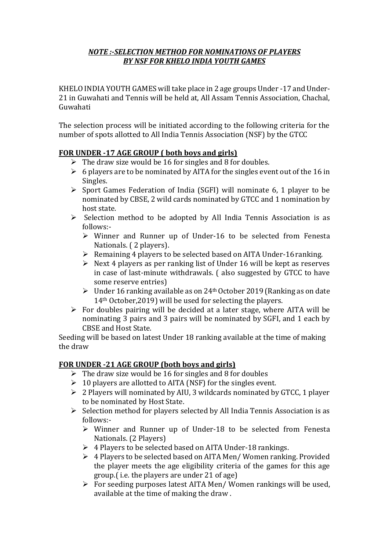## *NOTE :-SELECTION METHOD FOR NOMINATIONS OF PLAYERS BY NSF FOR KHELO INDIA YOUTH GAMES*

KHELO INDIA YOUTH GAMES will take place in 2 age groups Under -17 and Under-21 in Guwahati and Tennis will be held at, All Assam Tennis Association, Chachal, Guwahati

The selection process will be initiated according to the following criteria for the number of spots allotted to All India Tennis Association (NSF) by the GTCC

## **FOR UNDER -17 AGE GROUP ( both boys and girls)**

- $\triangleright$  The draw size would be 16 for singles and 8 for doubles.
- $\geq 6$  players are to be nominated by AITA for the singles event out of the 16 in Singles.
- $\triangleright$  Sport Games Federation of India (SGFI) will nominate 6, 1 player to be nominated by CBSE, 2 wild cards nominated by GTCC and 1 nomination by host state.
- $\triangleright$  Selection method to be adopted by All India Tennis Association is as follows:-
	- Winner and Runner up of Under-16 to be selected from Fenesta Nationals. ( 2 players).
	- $\triangleright$  Remaining 4 players to be selected based on AITA Under-16 ranking.
	- $\triangleright$  Next 4 players as per ranking list of Under 16 will be kept as reserves in case of last-minute withdrawals. ( also suggested by GTCC to have some reserve entries)
	- $\triangleright$  Under 16 ranking available as on 24<sup>th</sup> October 2019 (Ranking as on date 14th October,2019) will be used for selecting the players.
- $\triangleright$  For doubles pairing will be decided at a later stage, where AITA will be nominating 3 pairs and 3 pairs will be nominated by SGFI, and 1 each by CBSE and Host State.

Seeding will be based on latest Under 18 ranking available at the time of making the draw

## **FOR UNDER -21 AGE GROUP (both boys and girls)**

- $\triangleright$  The draw size would be 16 for singles and 8 for doubles
- $\geq 10$  players are allotted to AITA (NSF) for the singles event.
- $\geq 2$  Players will nominated by AIU, 3 wildcards nominated by GTCC, 1 player to be nominated by Host State.
- $\triangleright$  Selection method for players selected by All India Tennis Association is as follows:-
	- Winner and Runner up of Under-18 to be selected from Fenesta Nationals. (2 Players)
	- $\geq 4$  Players to be selected based on AITA Under-18 rankings.
	- ▶ 4 Players to be selected based on AITA Men/Women ranking. Provided the player meets the age eligibility criteria of the games for this age group.( i.e. the players are under 21 of age)
	- For seeding purposes latest AITA Men/ Women rankings will be used, available at the time of making the draw .